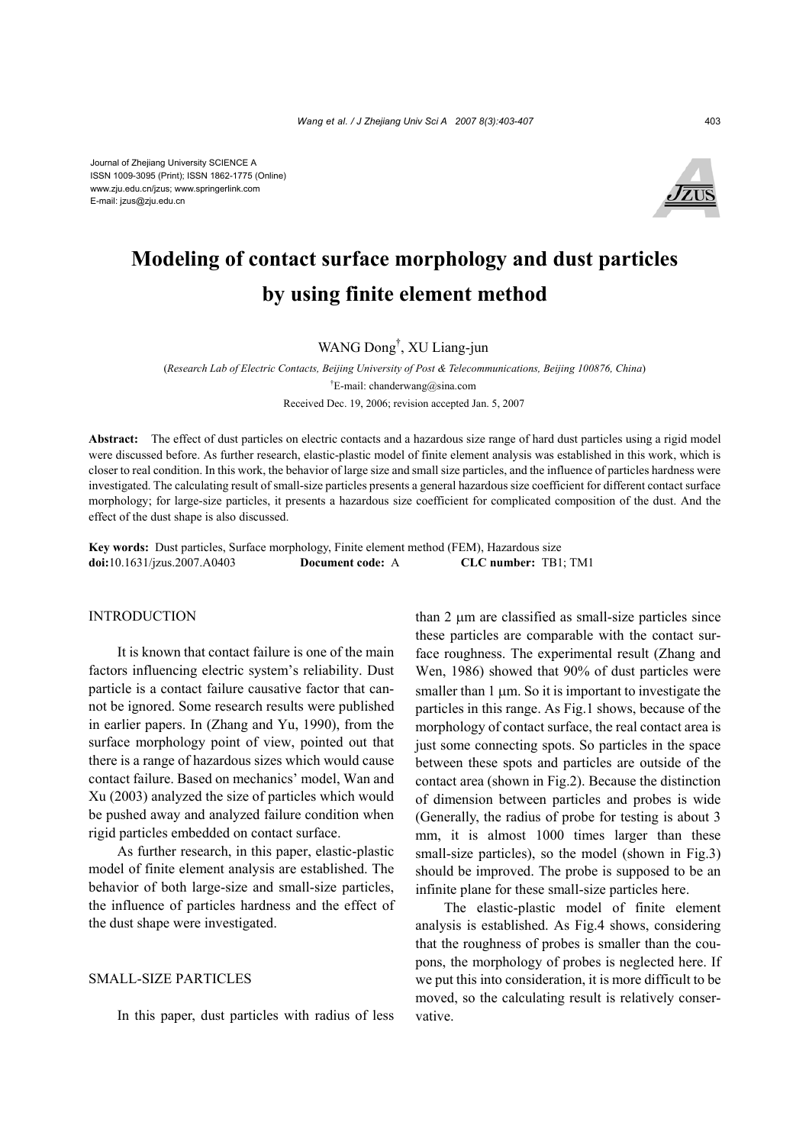

# **Modeling of contact surface morphology and dust particles by using finite element method**

WANG Dong† , XU Liang-jun

(*Research Lab of Electric Contacts, Beijing University of Post & Telecommunications, Beijing 100876, China*) † E-mail: chanderwang@sina.com Received Dec. 19, 2006; revision accepted Jan. 5, 2007

**Abstract:** The effect of dust particles on electric contacts and a hazardous size range of hard dust particles using a rigid model were discussed before. As further research, elastic-plastic model of finite element analysis was established in this work, which is closer to real condition. In this work, the behavior of large size and small size particles, and the influence of particles hardness were investigated. The calculating result of small-size particles presents a general hazardous size coefficient for different contact surface morphology; for large-size particles, it presents a hazardous size coefficient for complicated composition of the dust. And the effect of the dust shape is also discussed.

**Key words:** Dust particles, Surface morphology, Finite element method (FEM), Hazardous size **doi:**10.1631/jzus.2007.A0403 **Document code:** A **CLC number:** TB1; TM1

#### INTRODUCTION

It is known that contact failure is one of the main factors influencing electric system's reliability. Dust particle is a contact failure causative factor that cannot be ignored. Some research results were published in earlier papers. In (Zhang and Yu, 1990), from the surface morphology point of view, pointed out that there is a range of hazardous sizes which would cause contact failure. Based on mechanics' model, Wan and Xu (2003) analyzed the size of particles which would be pushed away and analyzed failure condition when rigid particles embedded on contact surface.

As further research, in this paper, elastic-plastic model of finite element analysis are established. The behavior of both large-size and small-size particles, the influence of particles hardness and the effect of the dust shape were investigated.

## SMALL-SIZE PARTICLES

In this paper, dust particles with radius of less

than 2 µm are classified as small-size particles since these particles are comparable with the contact surface roughness. The experimental result (Zhang and Wen, 1986) showed that 90% of dust particles were smaller than  $1 \mu m$ . So it is important to investigate the particles in this range. As Fig.1 shows, because of the morphology of contact surface, the real contact area is just some connecting spots. So particles in the space between these spots and particles are outside of the contact area (shown in Fig.2). Because the distinction of dimension between particles and probes is wide (Generally, the radius of probe for testing is about 3 mm, it is almost 1000 times larger than these small-size particles), so the model (shown in Fig.3) should be improved. The probe is supposed to be an infinite plane for these small-size particles here.

The elastic-plastic model of finite element analysis is established. As Fig.4 shows, considering that the roughness of probes is smaller than the coupons, the morphology of probes is neglected here. If we put this into consideration, it is more difficult to be moved, so the calculating result is relatively conservative.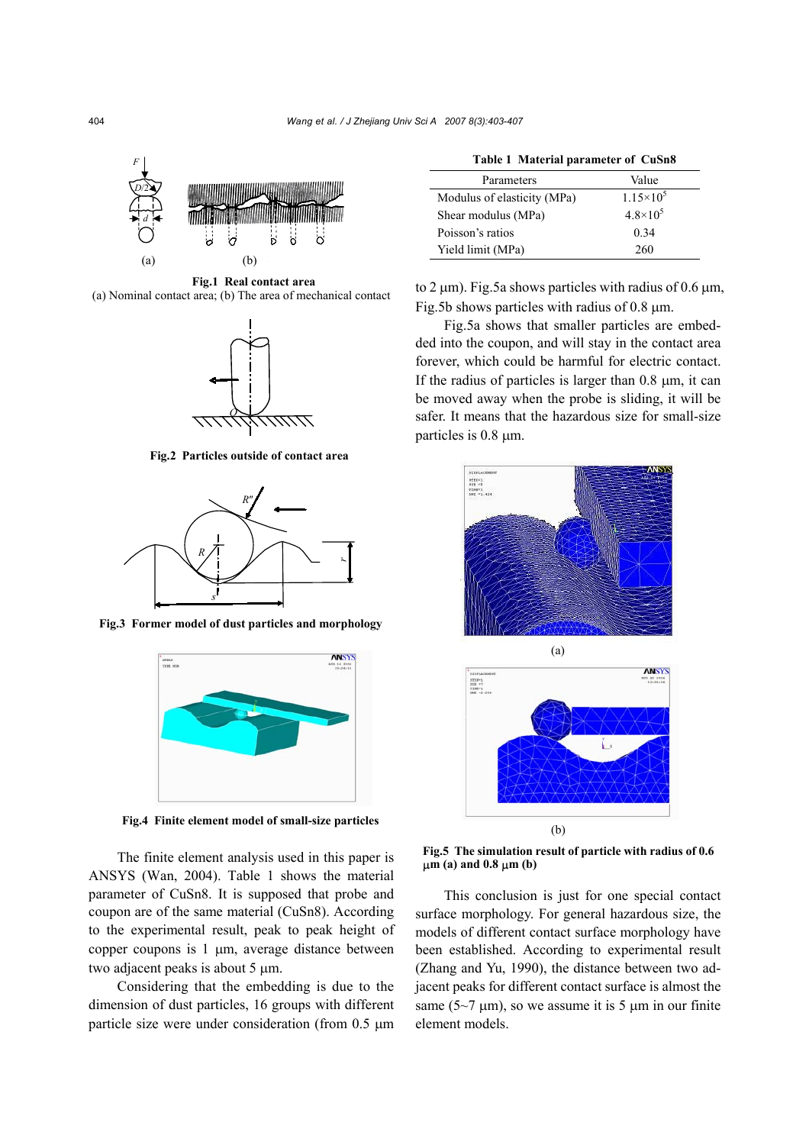

**Fig.1 Real contact area**  (a) Nominal contact area; (b) The area of mechanical contact



**Fig.2 Particles outside of contact area** 



**Fig.3 Former model of dust particles and morphology** 



**Fig.4 Finite element model of small-size particles** 

The finite element analysis used in this paper is ANSYS (Wan, 2004). Table 1 shows the material parameter of CuSn8. It is supposed that probe and coupon are of the same material (CuSn8). According to the experimental result, peak to peak height of copper coupons is 1 µm, average distance between two adjacent peaks is about 5 µm.

Considering that the embedding is due to the dimension of dust particles, 16 groups with different particle size were under consideration (from 0.5 µm

| Table 1 Material parameter of CuSn8 |                     |
|-------------------------------------|---------------------|
| Parameters                          | Value               |
| Modulus of elasticity (MPa)         | $1.15 \times 10^5$  |
| Shear modulus (MPa)                 | $4.8 \times 10^{5}$ |
| Poisson's ratios                    | 0.34                |

Yield limit (MPa) 260

to 2  $\mu$ m). Fig.5a shows particles with radius of 0.6  $\mu$ m, Fig.5b shows particles with radius of  $0.8 \mu m$ .

Fig.5a shows that smaller particles are embedded into the coupon, and will stay in the contact area forever, which could be harmful for electric contact. If the radius of particles is larger than  $0.8 \mu m$ , it can be moved away when the probe is sliding, it will be safer. It means that the hazardous size for small-size particles is 0.8  $\mu$ m.





**Fig.5 The simulation result of particle with radius of 0.6** µ**m (a) and 0.8** µ**m (b)** 

This conclusion is just for one special contact surface morphology. For general hazardous size, the models of different contact surface morphology have been established. According to experimental result (Zhang and Yu, 1990), the distance between two adjacent peaks for different contact surface is almost the same ( $5\textdegree$ )  $\pi$  um), so we assume it is 5  $\mu$ m in our finite element models.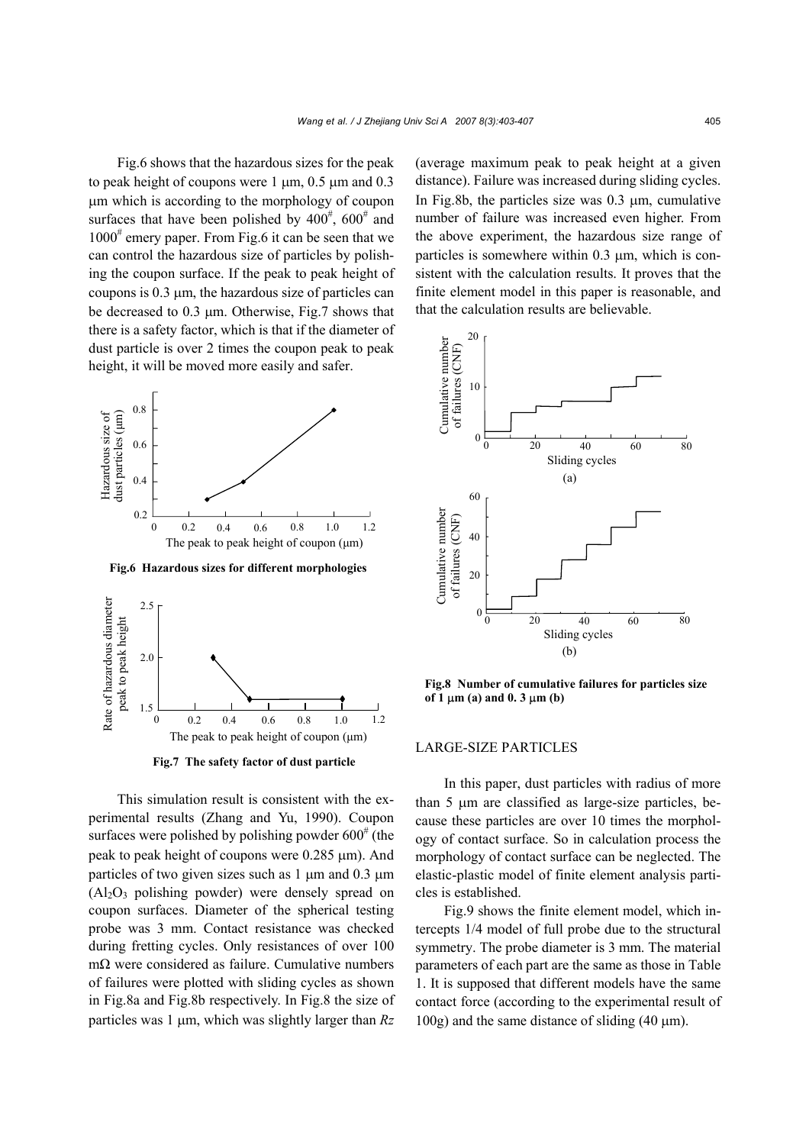Fig.6 shows that the hazardous sizes for the peak to peak height of coupons were  $1 \mu m$ , 0.5  $\mu$ m and 0.3 µm which is according to the morphology of coupon surfaces that have been polished by  $400^{\frac{4}{7}}$ ,  $600^{\frac{4}{7}}$  and  $1000^{\text{#}}$  emery paper. From Fig.6 it can be seen that we can control the hazardous size of particles by polishing the coupon surface. If the peak to peak height of coupons is 0.3 µm, the hazardous size of particles can be decreased to 0.3 µm. Otherwise, Fig.7 shows that there is a safety factor, which is that if the diameter of dust particle is over 2 times the coupon peak to peak height, it will be moved more easily and safer.



**Fig.6 Hazardous sizes for different morphologies**



**Fig.7 The safety factor of dust particle** 

This simulation result is consistent with the experimental results (Zhang and Yu, 1990). Coupon surfaces were polished by polishing powder  $600^{\circ}$  (the peak to peak height of coupons were 0.285 µm). And particles of two given sizes such as 1  $\mu$ m and 0.3  $\mu$ m  $(A<sub>12</sub>O<sub>3</sub>$  polishing powder) were densely spread on coupon surfaces. Diameter of the spherical testing probe was 3 mm. Contact resistance was checked during fretting cycles. Only resistances of over 100 mΩ were considered as failure. Cumulative numbers of failures were plotted with sliding cycles as shown in Fig.8a and Fig.8b respectively. In Fig.8 the size of particles was 1 µm, which was slightly larger than *Rz*

(average maximum peak to peak height at a given distance). Failure was increased during sliding cycles. In Fig.8b, the particles size was  $0.3 \mu m$ , cumulative number of failure was increased even higher. From the above experiment, the hazardous size range of particles is somewhere within 0.3 µm, which is consistent with the calculation results. It proves that the finite element model in this paper is reasonable, and that the calculation results are believable.



**Fig.8 Number of cumulative failures for particles size of 1** µ**m (a) and 0. 3** µ**m (b)** 

#### LARGE-SIZE PARTICLES

In this paper, dust particles with radius of more than 5 µm are classified as large-size particles, because these particles are over 10 times the morphology of contact surface. So in calculation process the morphology of contact surface can be neglected. The elastic-plastic model of finite element analysis particles is established.

Fig.9 shows the finite element model, which intercepts 1/4 model of full probe due to the structural symmetry. The probe diameter is 3 mm. The material parameters of each part are the same as those in Table 1. It is supposed that different models have the same contact force (according to the experimental result of  $100g$ ) and the same distance of sliding (40  $\mu$ m).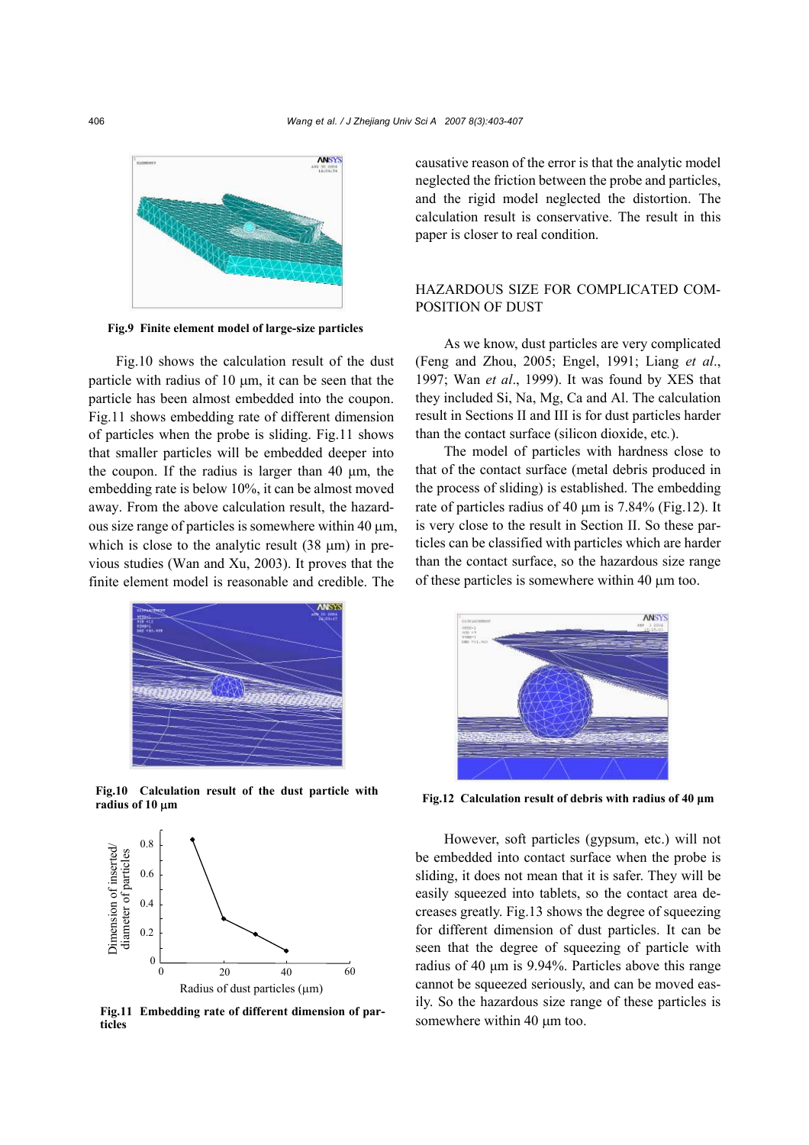

**Fig.9 Finite element model of large-size particles** 

Fig.10 shows the calculation result of the dust particle with radius of 10 µm, it can be seen that the particle has been almost embedded into the coupon. Fig.11 shows embedding rate of different dimension of particles when the probe is sliding. Fig.11 shows that smaller particles will be embedded deeper into the coupon. If the radius is larger than 40  $\mu$ m, the embedding rate is below 10%, it can be almost moved away. From the above calculation result, the hazardous size range of particles is somewhere within 40 µm, which is close to the analytic result  $(38 \mu m)$  in previous studies (Wan and Xu, 2003). It proves that the finite element model is reasonable and credible. The



**Fig.10 Calculation result of the dust particle with radius of 10** µ**m** 



**Fig.11 Embedding rate of different dimension of particles** 

causative reason of the error is that the analytic model neglected the friction between the probe and particles, and the rigid model neglected the distortion. The calculation result is conservative. The result in this paper is closer to real condition.

# HAZARDOUS SIZE FOR COMPLICATED COM-POSITION OF DUST

As we know, dust particles are very complicated (Feng and Zhou, 2005; Engel, 1991; Liang *et al*., 1997; Wan *et al*., 1999). It was found by XES that they included Si, Na, Mg, Ca and Al. The calculation result in Sections II and III is for dust particles harder than the contact surface (silicon dioxide, etc*.*).

The model of particles with hardness close to that of the contact surface (metal debris produced in the process of sliding) is established. The embedding rate of particles radius of 40 µm is 7.84% (Fig.12). It is very close to the result in Section II. So these particles can be classified with particles which are harder than the contact surface, so the hazardous size range of these particles is somewhere within 40 µm too.



**Fig.12 Calculation result of debris with radius of 40 µm** 

However, soft particles (gypsum, etc.) will not be embedded into contact surface when the probe is sliding, it does not mean that it is safer. They will be easily squeezed into tablets, so the contact area decreases greatly. Fig.13 shows the degree of squeezing for different dimension of dust particles. It can be seen that the degree of squeezing of particle with radius of 40 µm is 9.94%. Particles above this range cannot be squeezed seriously, and can be moved easily. So the hazardous size range of these particles is somewhere within 40  $\mu$ m too.